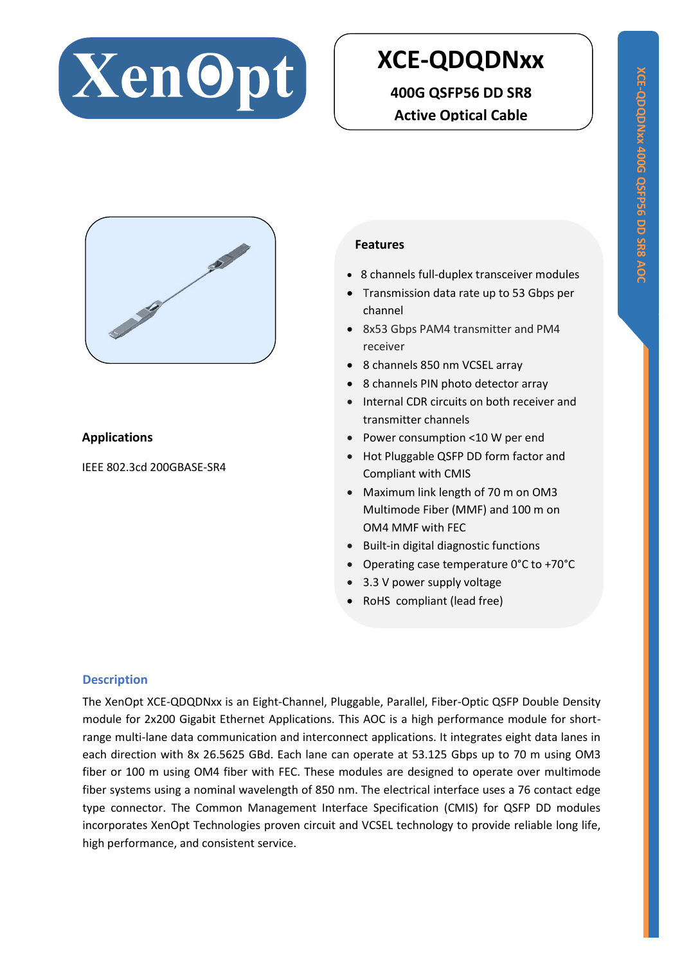

# **XCE-QDQDNxx**

**400G QSFP56 DD SR8 Active Optical Cable**



# **Applications**

IEEE 802.3cd 200GBASE-SR4

#### **Features**

- 8 channels full-duplex transceiver modules
- Transmission data rate up to 53 Gbps per channel
- 8x53 Gbps PAM4 transmitter and PM4 receiver
- 8 channels 850 nm VCSEL array
- 8 channels PIN photo detector array
- Internal CDR circuits on both receiver and transmitter channels
- Power consumption <10 W per end
- Hot Pluggable QSFP DD form factor and Compliant with CMIS
- Maximum link length of 70 m on OM3 Multimode Fiber (MMF) and 100 m on OM4 MMF with FEC
- Built-in digital diagnostic functions
- Operating case temperature 0°C to +70°C
- 3.3 V power supply voltage
- RoHS compliant (lead free)

#### **Description**

The XenOpt XCE-QDQDNxx is an Eight-Channel, Pluggable, Parallel, Fiber-Optic QSFP Double Density module for 2x200 Gigabit Ethernet Applications. This AOC is a high performance module for shortrange multi-lane data communication and interconnect applications. It integrates eight data lanes in each direction with 8x 26.5625 GBd. Each lane can operate at 53.125 Gbps up to 70 m using OM3 fiber or 100 m using OM4 fiber with FEC. These modules are designed to operate over multimode fiber systems using a nominal wavelength of 850 nm. The electrical interface uses a 76 contact edge type connector. The Common Management Interface Specification (CMIS) for QSFP DD modules incorporates XenOpt Technologies proven circuit and VCSEL technology to provide reliable long life, high performance, and consistent service.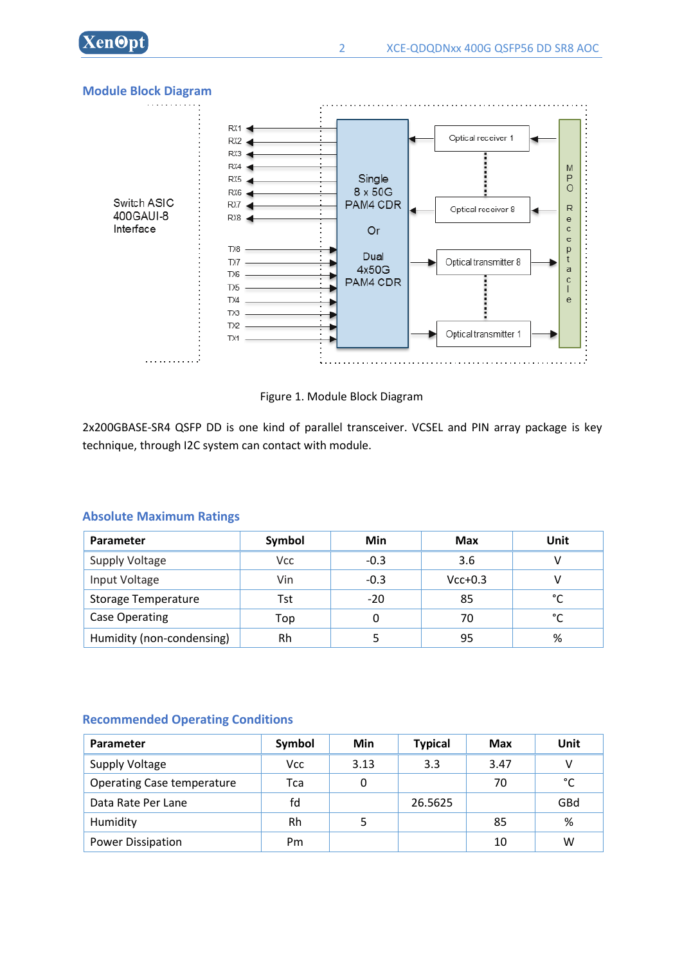



#### **Module Block Diagram**



2x200GBASE-SR4 QSFP DD is one kind of parallel transceiver. VCSEL and PIN array package is key technique, through I2C system can contact with module.

| Parameter                  | Symbol     | Min    | Max       | Unit |
|----------------------------|------------|--------|-----------|------|
| Supply Voltage             | <b>Vcc</b> | $-0.3$ | 3.6       |      |
| Input Voltage              | Vin        | $-0.3$ | $Vcc+0.3$ |      |
| <b>Storage Temperature</b> | Tst        | $-20$  | 85        | °C   |
| Case Operating             | Top        | 0      | 70        | °C   |
| Humidity (non-condensing)  | Rh         |        | 95        | %    |

#### **Absolute Maximum Ratings**

#### **Recommended Operating Conditions**

| Parameter                         | Symbol | Min  | <b>Typical</b> | Max  | Unit |
|-----------------------------------|--------|------|----------------|------|------|
| Supply Voltage                    | Vcc    | 3.13 | 3.3            | 3.47 | v    |
| <b>Operating Case temperature</b> | Tca    | 0    |                | 70   | °C   |
| Data Rate Per Lane                | fd     |      | 26.5625        |      | GBd  |
| Humidity                          | Rh     |      |                | 85   | %    |
| <b>Power Dissipation</b>          | Pm     |      |                | 10   | W    |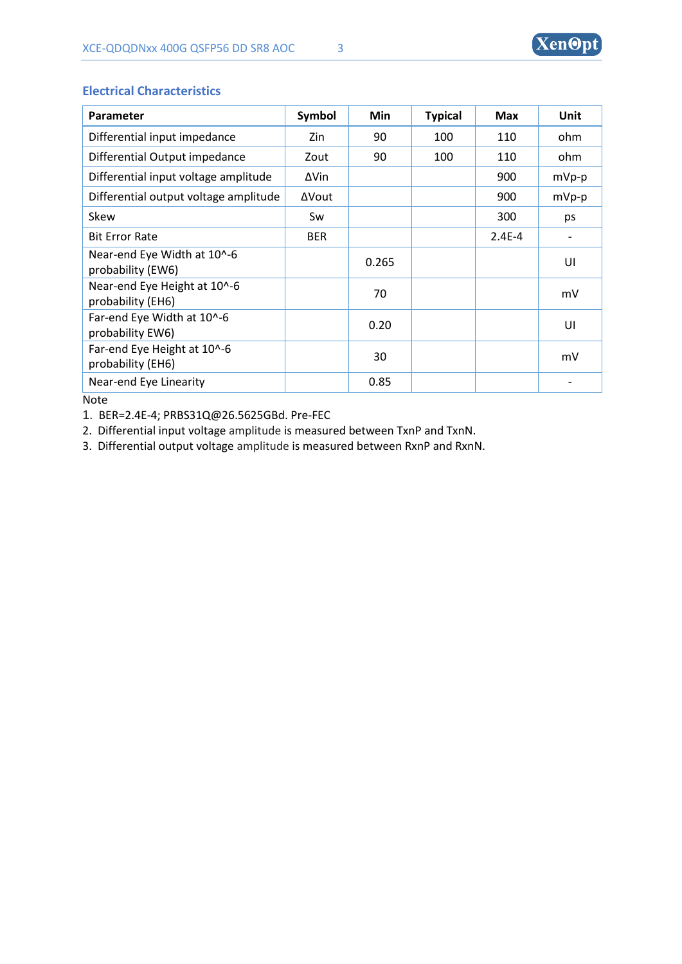| Parameter                                         | Symbol     | Min   | <b>Typical</b> | <b>Max</b> | Unit    |
|---------------------------------------------------|------------|-------|----------------|------------|---------|
| Differential input impedance                      | Zin        | 90    | 100            | 110        | ohm     |
| Differential Output impedance                     | Zout       | 90    | 100            | 110        | ohm     |
| Differential input voltage amplitude              | ΔVin       |       |                | 900        | mVp-p   |
| Differential output voltage amplitude             | ΔVout      |       |                | 900        | $mVp-p$ |
| Skew                                              | Sw         |       |                | 300        | ps      |
| <b>Bit Error Rate</b>                             | <b>BER</b> |       |                | $2.4E - 4$ |         |
| Near-end Eye Width at 10^-6<br>probability (EW6)  |            | 0.265 |                |            | UI      |
| Near-end Eye Height at 10^-6<br>probability (EH6) |            | 70    |                |            | mV      |
| Far-end Eye Width at 10^-6<br>probability EW6)    |            | 0.20  |                |            | UI      |
| Far-end Eye Height at 10^-6<br>probability (EH6)  |            | 30    |                |            | mV      |
| Near-end Eye Linearity                            |            | 0.85  |                |            |         |

#### **Electrical Characteristics**

Note

1. BER=2.4E-4; PRBS31Q@26.5625GBd. Pre-FEC

2. Differential input voltage amplitude is measured between TxnP and TxnN.

3. Differential output voltage amplitude is measured between RxnP and RxnN.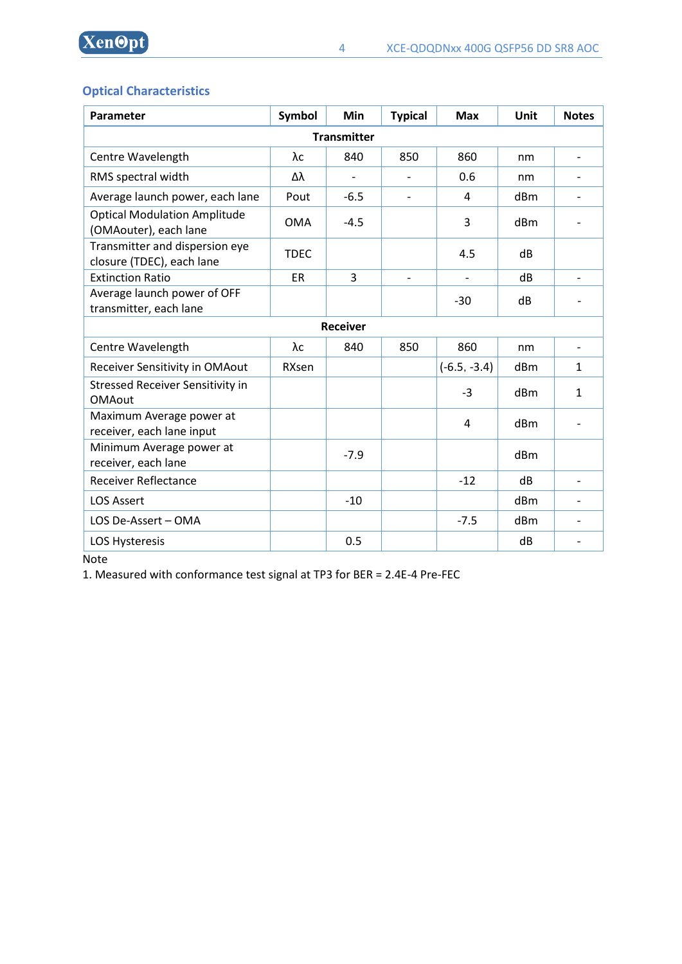**XenOpt** 

# **Optical Characteristics**

| Parameter                                                    | Symbol      | <b>Min</b>               | <b>Typical</b>           | <b>Max</b>     | Unit | <b>Notes</b>             |
|--------------------------------------------------------------|-------------|--------------------------|--------------------------|----------------|------|--------------------------|
| <b>Transmitter</b>                                           |             |                          |                          |                |      |                          |
| Centre Wavelength                                            | λc          | 840                      | 850                      | 860            | nm   | $\overline{\phantom{0}}$ |
| RMS spectral width                                           | Δλ          | $\overline{\phantom{0}}$ |                          | 0.6            | nm   |                          |
| Average launch power, each lane                              | Pout        | $-6.5$                   | $\overline{\phantom{a}}$ | 4              | dBm  | ۰                        |
| <b>Optical Modulation Amplitude</b><br>(OMAouter), each lane | <b>OMA</b>  | $-4.5$                   |                          | 3              | dBm  |                          |
| Transmitter and dispersion eye<br>closure (TDEC), each lane  | <b>TDEC</b> |                          |                          | 4.5            | dB   |                          |
| <b>Extinction Ratio</b>                                      | <b>ER</b>   | $\overline{3}$           |                          |                | dB   |                          |
| Average launch power of OFF<br>transmitter, each lane        |             |                          |                          | $-30$          | dB   |                          |
| <b>Receiver</b>                                              |             |                          |                          |                |      |                          |
| Centre Wavelength                                            | λc          | 840                      | 850                      | 860            | nm   | $\overline{\phantom{a}}$ |
| Receiver Sensitivity in OMAout                               | RXsen       |                          |                          | $(-6.5, -3.4)$ | dBm  | $\mathbf{1}$             |
| <b>Stressed Receiver Sensitivity in</b><br><b>OMAout</b>     |             |                          |                          | $-3$           | dBm  | $\mathbf{1}$             |
| Maximum Average power at<br>receiver, each lane input        |             |                          |                          | 4              | dBm  |                          |
| Minimum Average power at<br>receiver, each lane              |             | $-7.9$                   |                          |                | dBm  |                          |
| <b>Receiver Reflectance</b>                                  |             |                          |                          | $-12$          | dB   | $\overline{\phantom{0}}$ |
| <b>LOS Assert</b>                                            |             | $-10$                    |                          |                | dBm  |                          |
| LOS De-Assert - OMA                                          |             |                          |                          | $-7.5$         | dBm  |                          |
| <b>LOS Hysteresis</b>                                        |             | 0.5                      |                          |                | dB   |                          |

Note

1. Measured with conformance test signal at TP3 for BER = 2.4E-4 Pre-FEC